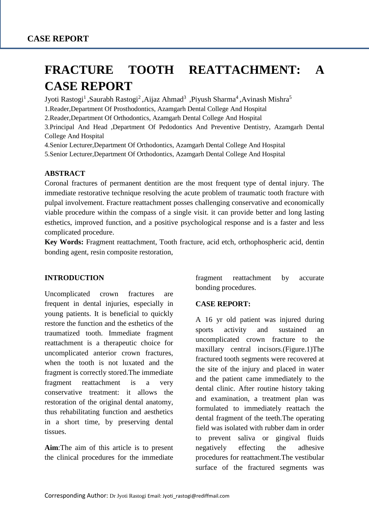# **FRACTURE TOOTH REATTACHMENT: A CASE REPORT**

Jyoti Rastogi<sup>1</sup> ,Saurabh Rastogi<sup>2</sup> ,Aijaz Ahmad<sup>3</sup> ,Piyush Sharma<sup>4</sup> ,Avinash Mishra<sup>5</sup>

1.Reader,Department Of Prosthodontics, Azamgarh Dental College And Hospital

2.Reader,Department Of Orthodontics, Azamgarh Dental College And Hospital

3.Principal And Head ,Department Of Pedodontics And Preventive Dentistry, Azamgarh Dental College And Hospital

4.Senior Lecturer,Department Of Orthodontics, Azamgarh Dental College And Hospital

5.Senior Lecturer,Department Of Orthodontics, Azamgarh Dental College And Hospital

## **ABSTRACT**

Coronal fractures of permanent dentition are the most frequent type of dental injury. The immediate restorative technique resolving the acute problem of traumatic tooth fracture with pulpal involvement. Fracture reattachment posses challenging conservative and economically viable procedure within the compass of a single visit. it can provide better and long lasting esthetics, improved function, and a positive psychological response and is a faster and less complicated procedure.

**Key Words:** Fragment reattachment, Tooth fracture, acid etch, orthophospheric acid, dentin bonding agent, resin composite restoration,

## **INTRODUCTION**

Uncomplicated crown fractures are frequent in dental injuries, especially in young patients. It is beneficial to quickly restore the function and the esthetics of the traumatized tooth. Immediate fragment reattachment is a therapeutic choice for uncomplicated anterior crown fractures, when the tooth is not luxated and the fragment is correctly stored.The immediate fragment reattachment is a very conservative treatment: it allows the restoration of the original dental anatomy, thus rehabilitating function and aesthetics in a short time, by preserving dental tissues.

**Aim**:The aim of this article is to present the clinical procedures for the immediate fragment reattachment by accurate bonding procedures.

## **CASE REPORT:**

A 16 yr old patient was injured during sports activity and sustained an uncomplicated crown fracture to the maxillary central incisors.(Figure.1)The fractured tooth segments were recovered at the site of the injury and placed in water and the patient came immediately to the dental clinic. After routine history taking and examination, a treatment plan was formulated to immediately reattach the dental fragment of the teeth.The operating field was isolated with rubber dam in order to prevent saliva or gingival fluids negatively effecting the adhesive procedures for reattachment.The vestibular surface of the fractured segments was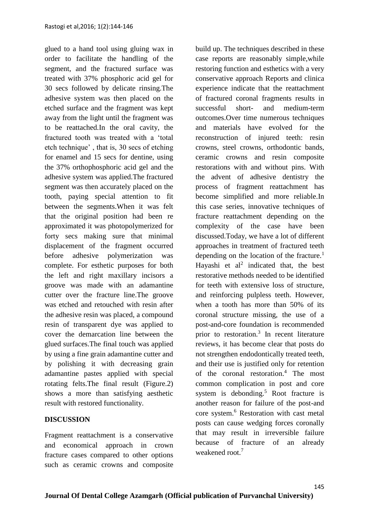glued to a hand tool using gluing wax in order to facilitate the handling of the segment, and the fractured surface was treated with 37% phosphoric acid gel for 30 secs followed by delicate rinsing.The adhesive system was then placed on the etched surface and the fragment was kept away from the light until the fragment was to be reattached.In the oral cavity, the fractured tooth was treated with a 'total etch technique' , that is, 30 secs of etching for enamel and 15 secs for dentine, using the 37% orthophosphoric acid gel and the adhesive system was applied.The fractured segment was then accurately placed on the tooth, paying special attention to fit between the segments.When it was felt that the original position had been re approximated it was photopolymerized for forty secs making sure that minimal displacement of the fragment occurred before adhesive polymerization was complete. For esthetic purposes for both the left and right maxillary incisors a groove was made with an adamantine cutter over the fracture line.The groove was etched and retouched with resin after the adhesive resin was placed, a compound resin of transparent dye was applied to cover the demarcation line between the glued surfaces.The final touch was applied by using a fine grain adamantine cutter and by polishing it with decreasing grain adamantine pastes applied with special rotating felts.The final result (Figure.2) shows a more than satisfying aesthetic result with restored functionality.

## **DISCUSSION**

Fragment reattachment is a conservative and economical approach in crown fracture cases compared to other options such as ceramic crowns and composite

build up. The techniques described in these case reports are reasonably simple,while restoring function and esthetics with a very conservative approach Reports and clinica experience indicate that the reattachment of fractured coronal fragments results in successful short- and medium-term outcomes.Over time numerous techniques and materials have evolved for the reconstruction of injured teeth: resin crowns, steel crowns, orthodontic bands, ceramic crowns and resin composite restorations with and without pins. With the advent of adhesive dentistry the process of fragment reattachment has become simplified and more reliable.In this case series, innovative techniques of fracture reattachment depending on the complexity of the case have been discussed.Today, we have a lot of different approaches in treatment of fractured teeth depending on the location of the fracture.<sup>1</sup> Hayashi et  $al^2$  indicated that, the best restorative methods needed to be identified for teeth with extensive loss of structure, and reinforcing pulpless teeth. However, when a tooth has more than 50% of its coronal structure missing, the use of a post-and-core foundation is recommended prior to restoration.<sup>3</sup> In recent literature reviews, it has become clear that posts do not strengthen endodontically treated teeth, and their use is justified only for retention of the coronal restoration.<sup>4</sup> The most common complication in post and core system is debonding.<sup>5</sup> Root fracture is another reason for failure of the post-and core system.<sup>6</sup> Restoration with cast metal posts can cause wedging forces coronally that may result in irreversible failure because of fracture of an already weakened root.<sup>7</sup>